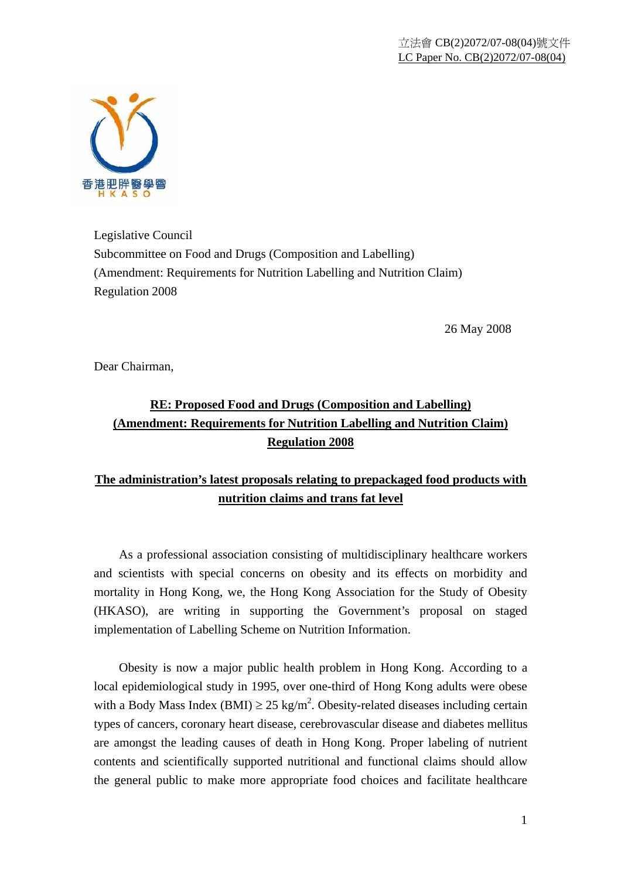

Legislative Council Subcommittee on Food and Drugs (Composition and Labelling) (Amendment: Requirements for Nutrition Labelling and Nutrition Claim) Regulation 2008

26 May 2008

Dear Chairman,

## **RE: Proposed Food and Drugs (Composition and Labelling) (Amendment: Requirements for Nutrition Labelling and Nutrition Claim) Regulation 2008**

## **The administration's latest proposals relating to prepackaged food products with nutrition claims and trans fat level**

 As a professional association consisting of multidisciplinary healthcare workers and scientists with special concerns on obesity and its effects on morbidity and mortality in Hong Kong, we, the Hong Kong Association for the Study of Obesity (HKASO), are writing in supporting the Government's proposal on staged implementation of Labelling Scheme on Nutrition Information.

 Obesity is now a major public health problem in Hong Kong. According to a local epidemiological study in 1995, over one-third of Hong Kong adults were obese with a Body Mass Index (BMI)  $\geq$  25 kg/m<sup>2</sup>. Obesity-related diseases including certain types of cancers, coronary heart disease, cerebrovascular disease and diabetes mellitus are amongst the leading causes of death in Hong Kong. Proper labeling of nutrient contents and scientifically supported nutritional and functional claims should allow the general public to make more appropriate food choices and facilitate healthcare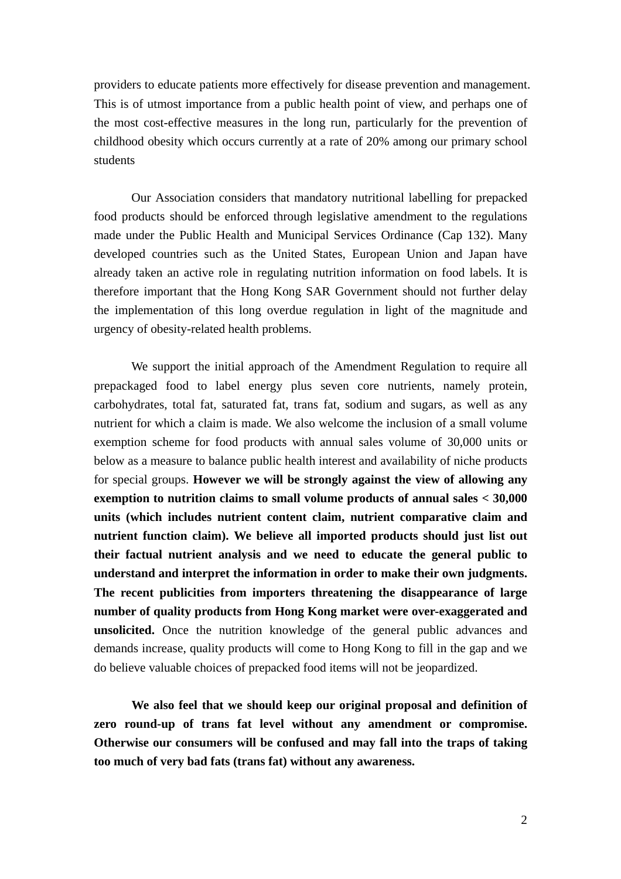providers to educate patients more effectively for disease prevention and management. This is of utmost importance from a public health point of view, and perhaps one of the most cost-effective measures in the long run, particularly for the prevention of childhood obesity which occurs currently at a rate of 20% among our primary school students

Our Association considers that mandatory nutritional labelling for prepacked food products should be enforced through legislative amendment to the regulations made under the Public Health and Municipal Services Ordinance (Cap 132). Many developed countries such as the United States, European Union and Japan have already taken an active role in regulating nutrition information on food labels. It is therefore important that the Hong Kong SAR Government should not further delay the implementation of this long overdue regulation in light of the magnitude and urgency of obesity-related health problems.

We support the initial approach of the Amendment Regulation to require all prepackaged food to label energy plus seven core nutrients, namely protein, carbohydrates, total fat, saturated fat, trans fat, sodium and sugars, as well as any nutrient for which a claim is made. We also welcome the inclusion of a small volume exemption scheme for food products with annual sales volume of 30,000 units or below as a measure to balance public health interest and availability of niche products for special groups. **However we will be strongly against the view of allowing any exemption to nutrition claims to small volume products of annual sales < 30,000 units (which includes nutrient content claim, nutrient comparative claim and nutrient function claim). We believe all imported products should just list out their factual nutrient analysis and we need to educate the general public to understand and interpret the information in order to make their own judgments. The recent publicities from importers threatening the disappearance of large number of quality products from Hong Kong market were over-exaggerated and unsolicited.** Once the nutrition knowledge of the general public advances and demands increase, quality products will come to Hong Kong to fill in the gap and we do believe valuable choices of prepacked food items will not be jeopardized.

**We also feel that we should keep our original proposal and definition of zero round-up of trans fat level without any amendment or compromise. Otherwise our consumers will be confused and may fall into the traps of taking too much of very bad fats (trans fat) without any awareness.**